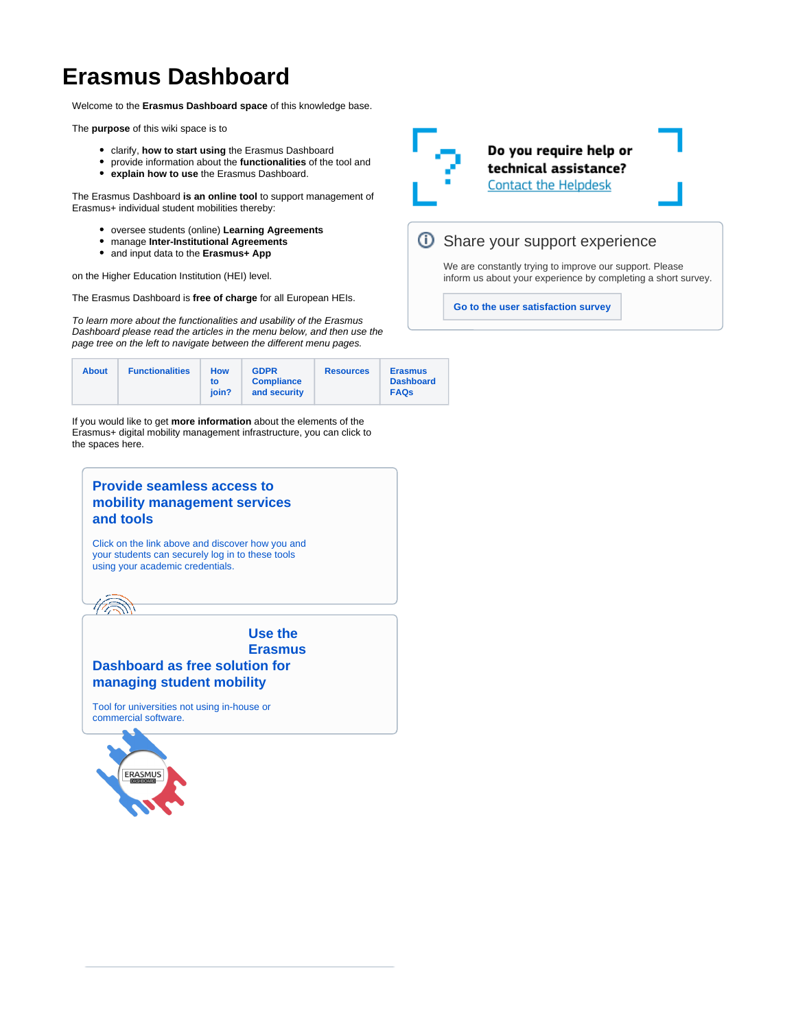# **Erasmus Dashboard**

Welcome to the **Erasmus Dashboard space** of this knowledge base.

The **purpose** of this wiki space is to

- clarify, **how to start using** the Erasmus Dashboard
- provide information about the **functionalities** of the tool and
- **explain how to use** the Erasmus Dashboard.

The Erasmus Dashboard **is an online tool** to support management of Erasmus+ individual student mobilities thereby:

- oversee students (online) **Learning Agreements**
- manage **Inter-Institutional Agreements**
- and input data to the **Erasmus+ App**

on the Higher Education Institution (HEI) level.

The Erasmus Dashboard is **free of charge** for all European HEIs.

To learn more about the functionalities and usability of the Erasmus Dashboard please read the articles in the menu below, and then use the page tree on the left to navigate between the different menu pages.

| <b>About</b> | <b>Functionalities</b> | How<br>to<br>ioin? | <b>GDPR</b><br><b>Compliance</b><br>and security | <b>Resources</b> | <b>Erasmus</b><br><b>Dashboard</b><br><b>FAQs</b> |
|--------------|------------------------|--------------------|--------------------------------------------------|------------------|---------------------------------------------------|
|--------------|------------------------|--------------------|--------------------------------------------------|------------------|---------------------------------------------------|

If you would like to get **more information** about the elements of the Erasmus+ digital mobility management infrastructure, you can click to the spaces here.

# **[Provide seamless access to](https://wiki.uni-foundation.eu/display/MAID/About)  [mobility management services](https://wiki.uni-foundation.eu/display/MAID/About)  [and tools](https://wiki.uni-foundation.eu/display/MAID/About)** [Click on the link above and discover how you and](https://wiki.uni-foundation.eu/display/MAID/About)  [your students can securely log in to these tools](https://wiki.uni-foundation.eu/display/MAID/About)  [using your academic credentials.](https://wiki.uni-foundation.eu/display/MAID/About) **[Use the](https://wiki.uni-foundation.eu/display/DASH/About)  [Erasmus](https://wiki.uni-foundation.eu/display/DASH/About)  [Dashboard as free solution for](https://wiki.uni-foundation.eu/display/DASH/About)  [managing student mobility](https://wiki.uni-foundation.eu/display/DASH/About)** [Tool for universities not using in-house or](https://wiki.uni-foundation.eu/display/DASH/About)  [commercial software.](https://wiki.uni-foundation.eu/display/DASH/About)



Do you require help or technical assistance? **Contact the Helpdesk** 

### *O* Share your support experience

We are constantly trying to improve our support. Please inform us about your experience by completing a short survey.

**[Go to the user satisfaction survey](https://ghentunipss.eu.qualtrics.com/jfe/form/SV_b2Q2hKaoZ7bP4iO)**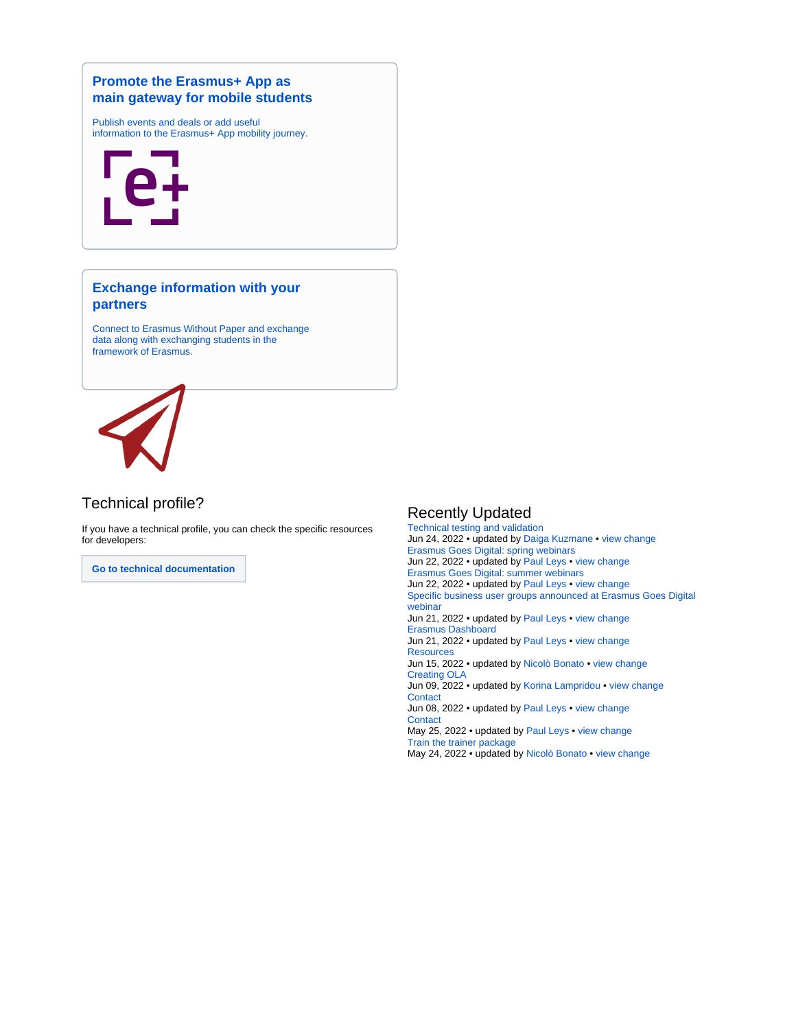#### **[Promote the Erasmus+ App as](https://wiki.uni-foundation.eu/display/App/About)  [main gateway for mobile students](https://wiki.uni-foundation.eu/display/App/About)**

[Publish events and deals or add useful](https://wiki.uni-foundation.eu/display/App/About)  [information to the Erasmus+ App mobility journey.](https://wiki.uni-foundation.eu/display/App/About)



#### **[Exchange information with your](https://wiki.uni-foundation.eu/display/EWP/About)  [partners](https://wiki.uni-foundation.eu/display/EWP/About)**

[Connect to Erasmus Without Paper and exchange](https://wiki.uni-foundation.eu/display/EWP/About)  [data along with exchanging students in the](https://wiki.uni-foundation.eu/display/EWP/About)  [framework of Erasmus.](https://wiki.uni-foundation.eu/display/EWP/About)



## Technical profile?

If you have a technical profile, you can check the specific resources for developers:

**[Go to technical documentation](https://wiki.uni-foundation.eu/display/WELCOME/Technical+documentation)**

#### Recently Updated

[Technical testing and validation](https://wiki.uni-foundation.eu/display/EWP/Technical+testing+and+validation) Jun 24, 2022 • updated by [Daiga Kuzmane](https://wiki.uni-foundation.eu/display/~daiga.kuzmane@uni-foundation.eu) • [view change](https://wiki.uni-foundation.eu/pages/diffpagesbyversion.action?pageId=24412409&selectedPageVersions=27&selectedPageVersions=26) [Erasmus Goes Digital: spring webinars](https://wiki.uni-foundation.eu/display/WELCOME/Erasmus+Goes+Digital%3A+spring+webinars) Jun 22, 2022 • updated by [Paul Leys](https://wiki.uni-foundation.eu/display/~paul.leys) • [view change](https://wiki.uni-foundation.eu/pages/diffpagesbyversion.action?pageId=29853792&selectedPageVersions=35&selectedPageVersions=34) [Erasmus Goes Digital: summer webinars](https://wiki.uni-foundation.eu/display/WELCOME/Erasmus+Goes+Digital%3A+summer+webinars) Jun 22, 2022 • updated by [Paul Leys](https://wiki.uni-foundation.eu/display/~paul.leys) • [view change](https://wiki.uni-foundation.eu/pages/diffpagesbyversion.action?pageId=51642369&selectedPageVersions=14&selectedPageVersions=13) [Specific business user groups announced at Erasmus Goes Digital](https://wiki.uni-foundation.eu/display/WELCOME/Specific+business+user+groups+announced+at+Erasmus+Goes+Digital+webinar)  [webinar](https://wiki.uni-foundation.eu/display/WELCOME/Specific+business+user+groups+announced+at+Erasmus+Goes+Digital+webinar) Jun 21, 2022 • updated by [Paul Leys](https://wiki.uni-foundation.eu/display/~paul.leys) • [view change](https://wiki.uni-foundation.eu/pages/diffpagesbyversion.action?pageId=55869441&selectedPageVersions=16&selectedPageVersions=15) [Erasmus Dashboard](https://wiki.uni-foundation.eu/display/EWP/Erasmus+Dashboard) Jun 21, 2022 • updated by [Paul Leys](https://wiki.uni-foundation.eu/display/~paul.leys) • [view change](https://wiki.uni-foundation.eu/pages/diffpagesbyversion.action?pageId=1149170&selectedPageVersions=13&selectedPageVersions=12) **[Resources](https://wiki.uni-foundation.eu/display/DASH/Resources)** Jun 15, 2022 • updated by [Nicolò Bonato](https://wiki.uni-foundation.eu/display/~nicolo.bonato) • [view change](https://wiki.uni-foundation.eu/pages/diffpagesbyversion.action?pageId=1147119&selectedPageVersions=8&selectedPageVersions=7) [Creating OLA](https://wiki.uni-foundation.eu/display/DASH/Creating+OLA) Jun 09, 2022 • updated by [Korina Lampridou](https://wiki.uni-foundation.eu/display/~korina.lampridou) • [view change](https://wiki.uni-foundation.eu/pages/diffpagesbyversion.action?pageId=1146978&selectedPageVersions=26&selectedPageVersions=25) **[Contact](https://wiki.uni-foundation.eu/display/EWP/Contact)** Jun 08, 2022 • updated by [Paul Leys](https://wiki.uni-foundation.eu/display/~paul.leys) • [view change](https://wiki.uni-foundation.eu/pages/diffpagesbyversion.action?pageId=1149222&selectedPageVersions=36&selectedPageVersions=35) **[Contact](https://wiki.uni-foundation.eu/display/DASH/Contact)** May 25, 2022 • updated by [Paul Leys](https://wiki.uni-foundation.eu/display/~paul.leys) • [view change](https://wiki.uni-foundation.eu/pages/diffpagesbyversion.action?pageId=50364419&selectedPageVersions=5&selectedPageVersions=4) [Train the trainer package](https://wiki.uni-foundation.eu/display/DASH/Train+the+trainer+package) May 24, 2022 • updated by [Nicolò Bonato](https://wiki.uni-foundation.eu/display/~nicolo.bonato) • [view change](https://wiki.uni-foundation.eu/pages/diffpagesbyversion.action?pageId=46858244&selectedPageVersions=10&selectedPageVersions=9)